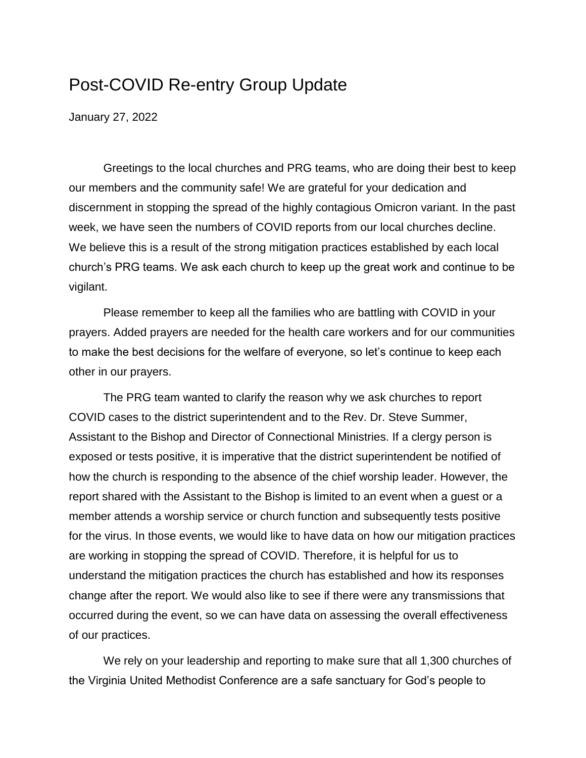# Post-COVID Re-entry Group Update

January 27, 2022

Greetings to the local churches and PRG teams, who are doing their best to keep our members and the community safe! We are grateful for your dedication and discernment in stopping the spread of the highly contagious Omicron variant. In the past week, we have seen the numbers of COVID reports from our local churches decline. We believe this is a result of the strong mitigation practices established by each local church's PRG teams. We ask each church to keep up the great work and continue to be vigilant.

Please remember to keep all the families who are battling with COVID in your prayers. Added prayers are needed for the health care workers and for our communities to make the best decisions for the welfare of everyone, so let's continue to keep each other in our prayers.

The PRG team wanted to clarify the reason why we ask churches to report COVID cases to the district superintendent and to the Rev. Dr. Steve Summer, Assistant to the Bishop and Director of Connectional Ministries. If a clergy person is exposed or tests positive, it is imperative that the district superintendent be notified of how the church is responding to the absence of the chief worship leader. However, the report shared with the Assistant to the Bishop is limited to an event when a guest or a member attends a worship service or church function and subsequently tests positive for the virus. In those events, we would like to have data on how our mitigation practices are working in stopping the spread of COVID. Therefore, it is helpful for us to understand the mitigation practices the church has established and how its responses change after the report. We would also like to see if there were any transmissions that occurred during the event, so we can have data on assessing the overall effectiveness of our practices.

We rely on your leadership and reporting to make sure that all 1,300 churches of the Virginia United Methodist Conference are a safe sanctuary for God's people to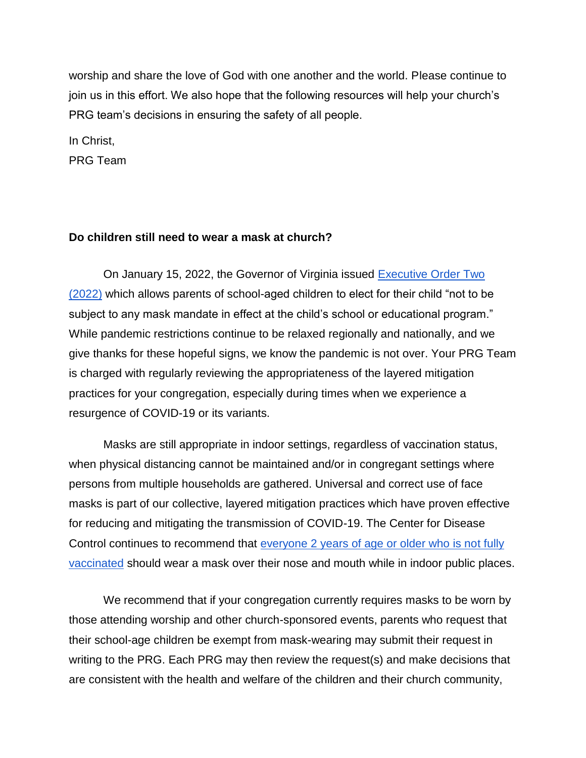worship and share the love of God with one another and the world. Please continue to join us in this effort. We also hope that the following resources will help your church's PRG team's decisions in ensuring the safety of all people.

In Christ, PRG Team

#### **Do children still need to wear a mask at church?**

On January 15, 2022, the Governor of Virginia issued [Executive Order Two](https://www.governor.virginia.gov/media/governorvirginiagov/governor-of-virginia/pdf/74---eo/74---eo/EO-2---School-Mask-Mandate-Executive-Order-Exception.pdf)  [\(2022\)](https://www.governor.virginia.gov/media/governorvirginiagov/governor-of-virginia/pdf/74---eo/74---eo/EO-2---School-Mask-Mandate-Executive-Order-Exception.pdf) which allows parents of school-aged children to elect for their child "not to be subject to any mask mandate in effect at the child's school or educational program." While pandemic restrictions continue to be relaxed regionally and nationally, and we give thanks for these hopeful signs, we know the pandemic is not over. Your PRG Team is charged with regularly reviewing the appropriateness of the layered mitigation practices for your congregation, especially during times when we experience a resurgence of COVID-19 or its variants.

Masks are still appropriate in indoor settings, regardless of vaccination status, when physical distancing cannot be maintained and/or in congregant settings where persons from multiple households are gathered. Universal and correct use of face masks is part of our collective, layered mitigation practices which have proven effective for reducing and mitigating the transmission of COVID-19. The Center for Disease Control continues to recommend that [everyone 2 years of age or older who is not fully](https://www.cdc.gov/coronavirus/2019-ncov/prevent-getting-sick/about-face-coverings.html#:~:text=If%20you%20are%202%20years,a%20mask%20indoors%20in%20public.&text=They%20or%20someone%20they%20live,increased%20risk%20for%20severe%20disease.)  [vaccinated](https://www.cdc.gov/coronavirus/2019-ncov/prevent-getting-sick/about-face-coverings.html#:~:text=If%20you%20are%202%20years,a%20mask%20indoors%20in%20public.&text=They%20or%20someone%20they%20live,increased%20risk%20for%20severe%20disease.) should wear a mask over their nose and mouth while in indoor public places.

We recommend that if your congregation currently requires masks to be worn by those attending worship and other church-sponsored events, parents who request that their school-age children be exempt from mask-wearing may submit their request in writing to the PRG. Each PRG may then review the request(s) and make decisions that are consistent with the health and welfare of the children and their church community,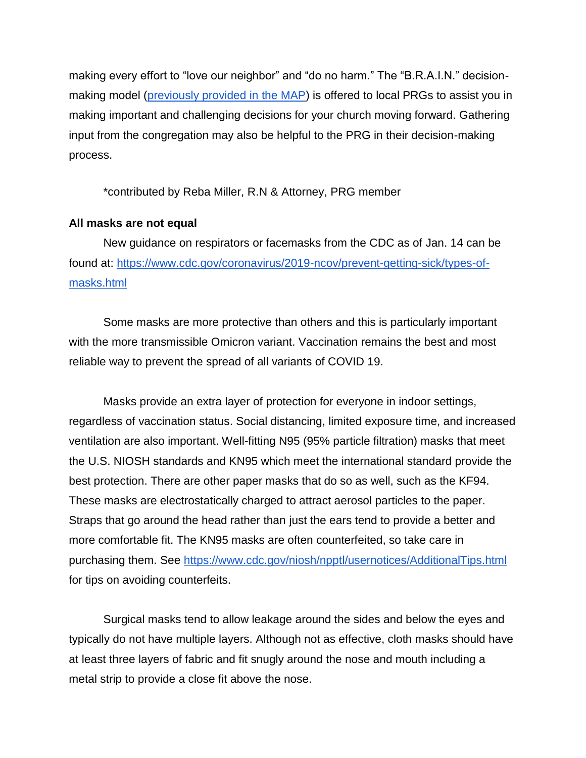making every effort to "love our neighbor" and "do no harm." The "B.R.A.I.N." decisionmaking model [\(previously provided in the MAP\)](https://doc.vaumc.org/PRG/MAP.pdf) is offered to local PRGs to assist you in making important and challenging decisions for your church moving forward. Gathering input from the congregation may also be helpful to the PRG in their decision-making process.

\*contributed by Reba Miller, R.N & Attorney, PRG member

#### **All masks are not equal**

New guidance on respirators or facemasks from the CDC as of Jan. 14 can be found at: [https://www.cdc.gov/coronavirus/2019-ncov/prevent-getting-sick/types-of](https://www.cdc.gov/coronavirus/2019-ncov/prevent-getting-sick/types-of-masks.html)[masks.html](https://www.cdc.gov/coronavirus/2019-ncov/prevent-getting-sick/types-of-masks.html)

Some masks are more protective than others and this is particularly important with the more transmissible Omicron variant. Vaccination remains the best and most reliable way to prevent the spread of all variants of COVID 19.

Masks provide an extra layer of protection for everyone in indoor settings, regardless of vaccination status. Social distancing, limited exposure time, and increased ventilation are also important. Well-fitting N95 (95% particle filtration) masks that meet the U.S. NIOSH standards and KN95 which meet the international standard provide the best protection. There are other paper masks that do so as well, such as the KF94. These masks are electrostatically charged to attract aerosol particles to the paper. Straps that go around the head rather than just the ears tend to provide a better and more comfortable fit. The KN95 masks are often counterfeited, so take care in purchasing them. See<https://www.cdc.gov/niosh/npptl/usernotices/AdditionalTips.html> for tips on avoiding counterfeits.

Surgical masks tend to allow leakage around the sides and below the eyes and typically do not have multiple layers. Although not as effective, cloth masks should have at least three layers of fabric and fit snugly around the nose and mouth including a metal strip to provide a close fit above the nose.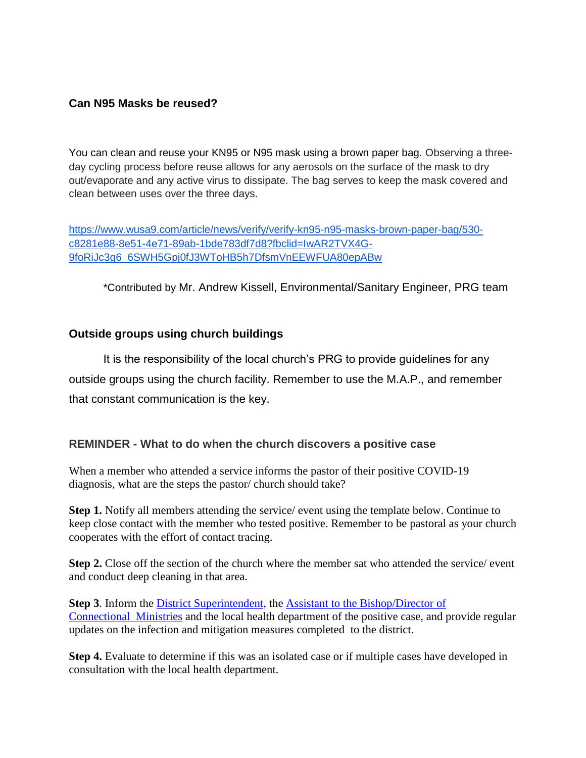### **Can N95 Masks be reused?**

You can clean and reuse your KN95 or N95 mask using a brown paper bag. Observing a threeday cycling process before reuse allows for any aerosols on the surface of the mask to dry out/evaporate and any active virus to dissipate. The bag serves to keep the mask covered and clean between uses over the three days.

[https://www.wusa9.com/article/news/verify/verify-kn95-n95-masks-brown-paper-bag/530](https://www.wusa9.com/article/news/verify/verify-kn95-n95-masks-brown-paper-bag/530-c8281e88-8e51-4e71-89ab-1bde783df7d8?fbclid=IwAR2TVX4G-9foRiJc3g6_6SWH5Gpj0fJ3WToHB5h7DfsmVnEEWFUA80epABw) [c8281e88-8e51-4e71-89ab-1bde783df7d8?fbclid=IwAR2TVX4G-](https://www.wusa9.com/article/news/verify/verify-kn95-n95-masks-brown-paper-bag/530-c8281e88-8e51-4e71-89ab-1bde783df7d8?fbclid=IwAR2TVX4G-9foRiJc3g6_6SWH5Gpj0fJ3WToHB5h7DfsmVnEEWFUA80epABw)[9foRiJc3g6\\_6SWH5Gpj0fJ3WToHB5h7DfsmVnEEWFUA80epABw](https://www.wusa9.com/article/news/verify/verify-kn95-n95-masks-brown-paper-bag/530-c8281e88-8e51-4e71-89ab-1bde783df7d8?fbclid=IwAR2TVX4G-9foRiJc3g6_6SWH5Gpj0fJ3WToHB5h7DfsmVnEEWFUA80epABw)

\*Contributed by Mr. Andrew Kissell, Environmental/Sanitary Engineer, PRG team

## **Outside groups using church buildings**

It is the responsibility of the local church's PRG to provide guidelines for any outside groups using the church facility. Remember to use the M.A.P., and remember that constant communication is the key.

#### **REMINDER - What to do when the church discovers a positive case**

When a member who attended a service informs the pastor of their positive COVID-19 diagnosis, what are the steps the pastor/ church should take?

**Step 1.** Notify all members attending the service/ event using the template below. Continue to keep close contact with the member who tested positive. Remember to be pastoral as your church cooperates with the effort of contact tracing.

**Step 2.** Close off the section of the church where the member sat who attended the service/ event and conduct deep cleaning in that area.

**Step 3**. Inform the [District Superintendent,](https://vaumc.org/districtoffices/) the [Assistant to the Bishop/Director of](mailto:SteveSummers@vaumc.org)  [Connectional](mailto:SteveSummers@vaumc.org) Ministries and the local health department of the positive case, and provide regular updates on the infection and mitigation measures completed to the district.

**Step 4.** Evaluate to determine if this was an isolated case or if multiple cases have developed in consultation with the local health department.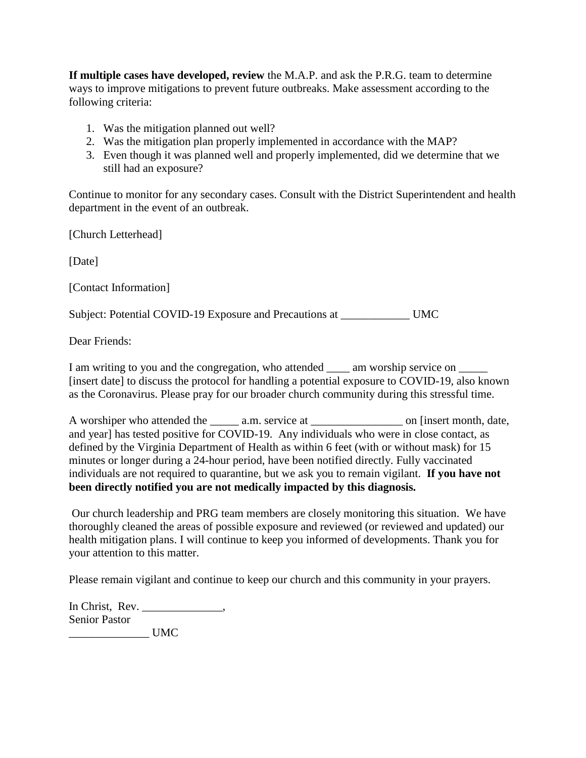**If multiple cases have developed, review** the M.A.P. and ask the P.R.G. team to determine ways to improve mitigations to prevent future outbreaks. Make assessment according to the following criteria:

- 1. Was the mitigation planned out well?
- 2. Was the mitigation plan properly implemented in accordance with the MAP?
- 3. Even though it was planned well and properly implemented, did we determine that we still had an exposure?

Continue to monitor for any secondary cases. Consult with the District Superintendent and health department in the event of an outbreak.

[Church Letterhead]

[Date]

[Contact Information]

Subject: Potential COVID-19 Exposure and Precautions at \_\_\_\_\_\_\_\_\_\_\_\_ UMC

Dear Friends:

I am writing to you and the congregation, who attended \_\_\_\_\_ am worship service on \_\_\_\_\_\_ [insert date] to discuss the protocol for handling a potential exposure to COVID-19, also known as the Coronavirus. Please pray for our broader church community during this stressful time.

A worshiper who attended the \_\_\_\_\_\_ a.m. service at \_\_\_\_\_\_\_\_\_\_\_\_\_\_\_\_\_\_\_ on [insert month, date, and year] has tested positive for COVID-19. Any individuals who were in close contact, as defined by the Virginia Department of Health as within 6 feet (with or without mask) for 15 minutes or longer during a 24-hour period, have been notified directly. Fully vaccinated individuals are not required to quarantine, but we ask you to remain vigilant. **If you have not been directly notified you are not medically impacted by this diagnosis.**

Our church leadership and PRG team members are closely monitoring this situation. We have thoroughly cleaned the areas of possible exposure and reviewed (or reviewed and updated) our health mitigation plans. I will continue to keep you informed of developments. Thank you for your attention to this matter.

Please remain vigilant and continue to keep our church and this community in your prayers.

In Christ, Rev. \_\_\_\_\_\_\_\_\_\_\_\_\_\_, Senior Pastor \_\_\_\_\_\_\_\_\_\_\_\_\_\_ UMC